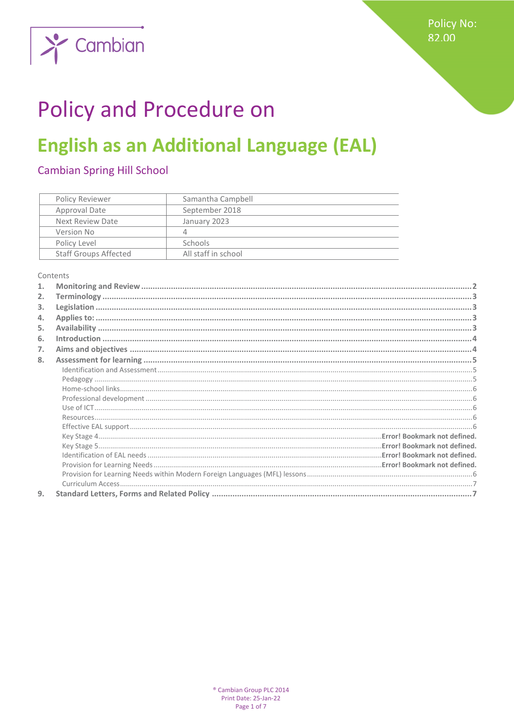

# **Policy and Procedure on**

## **English as an Additional Language (EAL)**

## **Cambian Spring Hill School**

| Policy Reviewer              | Samantha Campbell   |
|------------------------------|---------------------|
| Approval Date                | September 2018      |
| Next Review Date             | January 2023        |
| Version No                   | Д                   |
| Policy Level                 | <b>Schools</b>      |
| <b>Staff Groups Affected</b> | All staff in school |

Contents

| $\mathbf{1}$ . |  |
|----------------|--|
| 2.             |  |
| 3.             |  |
| 4.             |  |
| 5.             |  |
| 6.             |  |
| 7.             |  |
| 8.             |  |
|                |  |
|                |  |
|                |  |
|                |  |
|                |  |
|                |  |
|                |  |
|                |  |
|                |  |
|                |  |
|                |  |
|                |  |
|                |  |
| 9.             |  |
|                |  |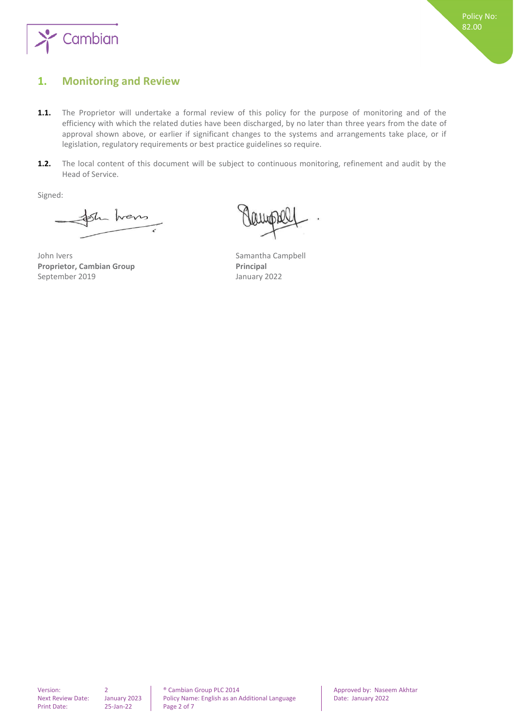

## <span id="page-1-0"></span>**1. Monitoring and Review**

- **1.1.** The Proprietor will undertake a formal review of this policy for the purpose of monitoring and of the efficiency with which the related duties have been discharged, by no later than three years from the date of approval shown above, or earlier if significant changes to the systems and arrangements take place, or if legislation, regulatory requirements or best practice guidelines so require.
- **1.2.** The local content of this document will be subject to continuous monitoring, refinement and audit by the Head of Service.

Signed:

Shens

John Ivers **Samantha Campbell Proprietor, Cambian Group Principal** September 2019 **January 2022**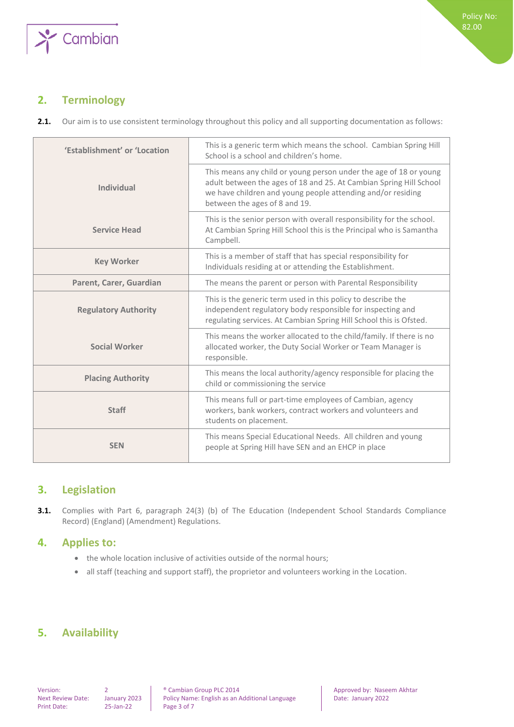

## <span id="page-2-0"></span>**2. Terminology**

2.1. Our aim is to use consistent terminology throughout this policy and all supporting documentation as follows:

| 'Establishment' or 'Location | This is a generic term which means the school. Cambian Spring Hill<br>School is a school and children's home.                                                                                                                           |
|------------------------------|-----------------------------------------------------------------------------------------------------------------------------------------------------------------------------------------------------------------------------------------|
| <b>Individual</b>            | This means any child or young person under the age of 18 or young<br>adult between the ages of 18 and 25. At Cambian Spring Hill School<br>we have children and young people attending and/or residing<br>between the ages of 8 and 19. |
| <b>Service Head</b>          | This is the senior person with overall responsibility for the school.<br>At Cambian Spring Hill School this is the Principal who is Samantha<br>Campbell.                                                                               |
| <b>Key Worker</b>            | This is a member of staff that has special responsibility for<br>Individuals residing at or attending the Establishment.                                                                                                                |
| Parent, Carer, Guardian      | The means the parent or person with Parental Responsibility                                                                                                                                                                             |
| <b>Regulatory Authority</b>  | This is the generic term used in this policy to describe the<br>independent regulatory body responsible for inspecting and<br>regulating services. At Cambian Spring Hill School this is Ofsted.                                        |
| <b>Social Worker</b>         | This means the worker allocated to the child/family. If there is no<br>allocated worker, the Duty Social Worker or Team Manager is<br>responsible.                                                                                      |
| <b>Placing Authority</b>     | This means the local authority/agency responsible for placing the<br>child or commissioning the service                                                                                                                                 |
| <b>Staff</b>                 | This means full or part-time employees of Cambian, agency<br>workers, bank workers, contract workers and volunteers and<br>students on placement.                                                                                       |
| <b>SEN</b>                   | This means Special Educational Needs. All children and young<br>people at Spring Hill have SEN and an EHCP in place                                                                                                                     |

## <span id="page-2-1"></span>**3. Legislation**

**3.1.** Complies with Part 6, paragraph 24(3) (b) of The Education (Independent School Standards Compliance Record) (England) (Amendment) Regulations.

## <span id="page-2-2"></span>**4. Applies to:**

- the whole location inclusive of activities outside of the normal hours;
- all staff (teaching and support staff), the proprietor and volunteers working in the Location.

## <span id="page-2-3"></span>**5. Availability**

Print Date: 25-Jan-22 Page 3 of 7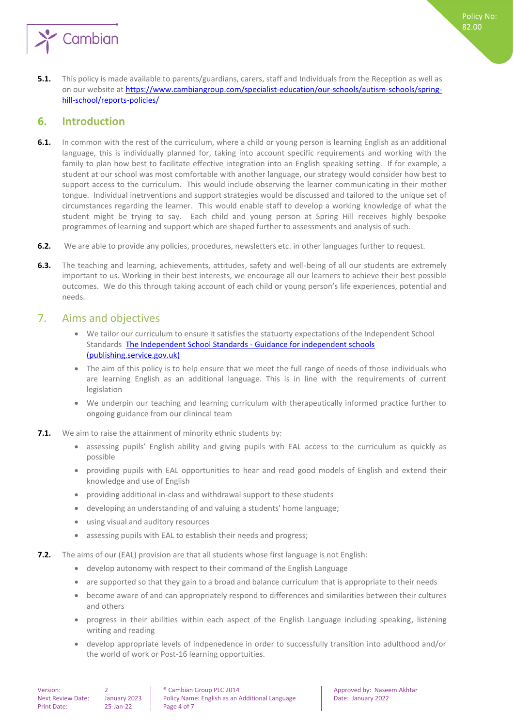

**5.1.** This policy is made available to parents/guardians, carers, staff and Individuals from the Reception as well as on our website a[t https://www.cambiangroup.com/specialist-education/our-schools/autism-schools/spring](https://www.cambiangroup.com/specialist-education/our-schools/autism-schools/spring-hill-school/reports-policies/)[hill-school/reports-policies/](https://www.cambiangroup.com/specialist-education/our-schools/autism-schools/spring-hill-school/reports-policies/)

## <span id="page-3-0"></span>**6. Introduction**

- **6.1.** In common with the rest of the curriculum, where a child or young person is learning English as an additional language, this is individually planned for, taking into account specific requirements and working with the family to plan how best to facilitate effective integration into an English speaking setting. If for example, a student at our school was most comfortable with another language, our strategy would consider how best to support access to the curriculum. This would include observing the learner communicating in their mother tongue. Individual inetrventions and support strategies would be discussed and tailored to the unique set of circumstances regarding the learner. This would enable staff to develop a working knowledge of what the student might be trying to say. Each child and young person at Spring Hill receives highly bespoke programmes of learning and support which are shaped further to assessments and analysis of such.
- **6.2.** We are able to provide any policies, procedures, newsletters etc. in other languages further to request.
- **6.3.** The teaching and learning, achievements, attitudes, safety and well-being of all our students are extremely important to us. Working in their best interests, we encourage all our learners to achieve their best possible outcomes. We do this through taking account of each child or young person's life experiences, potential and needs.

## <span id="page-3-1"></span>7. Aims and objectives

- We tailor our curriculum to ensure it satisfies the statuorty expectations of the Independent School Standards [The Independent School Standards -](https://assets.publishing.service.gov.uk/government/uploads/system/uploads/attachment_data/file/800615/Independent_School_Standards-_Guidance_070519.pdf) Guidance for independent schools [\(publishing.service.gov.uk\)](https://assets.publishing.service.gov.uk/government/uploads/system/uploads/attachment_data/file/800615/Independent_School_Standards-_Guidance_070519.pdf)
- The aim of this policy is to help ensure that we meet the full range of needs of those individuals who are learning English as an additional language. This is in line with the requirements of current legislation
- We underpin our teaching and learning curriculum with therapeutically informed practice further to ongoing guidance from our clinincal team
- **7.1.** We aim to raise the attainment of minority ethnic students by:
	- assessing pupils' English ability and giving pupils with EAL access to the curriculum as quickly as possible
	- providing pupils with EAL opportunities to hear and read good models of English and extend their knowledge and use of English
	- providing additional in-class and withdrawal support to these students
	- developing an understanding of and valuing a students' home language;
	- using visual and auditory resources
	- assessing pupils with EAL to establish their needs and progress;
- **7.2.** The aims of our (EAL) provision are that all students whose first language is not English:
	- develop autonomy with respect to their command of the English Language
	- are supported so that they gain to a broad and balance curriculum that is appropriate to their needs
	- become aware of and can appropriately respond to differences and similarities between their cultures and others
	- progress in their abilities within each aspect of the English Language including speaking, listening writing and reading
	- develop appropriate levels of indpenedence in order to successfully transition into adulthood and/or the world of work or Post-16 learning opportuities.

Policy No: 82.00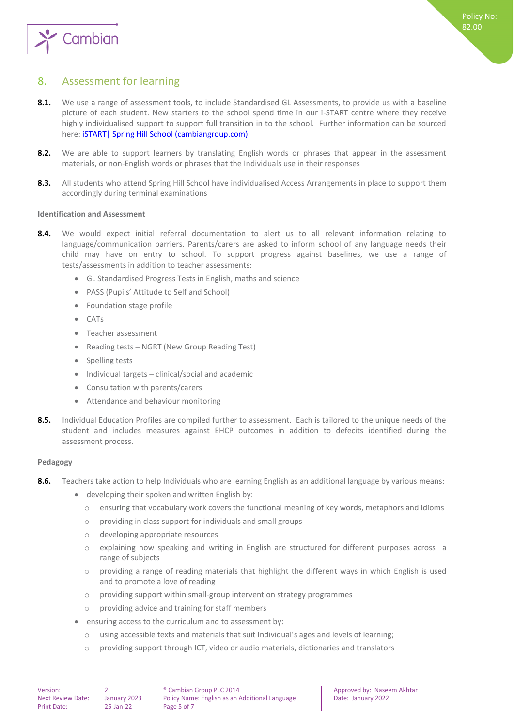

## <span id="page-4-0"></span>8. Assessment for learning

- 8.1. We use a range of assessment tools, to include Standardised GL Assessments, to provide us with a baseline picture of each student. New starters to the school spend time in our i-START centre where they receive highly individualised support to support full transition in to the school. Further information can be sourced here: **iSTART** | Spring Hill School (cambiangroup.com)
- **8.2.** We are able to support learners by translating English words or phrases that appear in the assessment materials, or non-English words or phrases that the Individuals use in their responses
- **8.3.** All students who attend Spring Hill School have individualised Access Arrangements in place to support them accordingly during terminal examinations

#### <span id="page-4-1"></span>**Identification and Assessment**

- 8.4. We would expect initial referral documentation to alert us to all relevant information relating to language/communication barriers. Parents/carers are asked to inform school of any language needs their child may have on entry to school. To support progress against baselines, we use a range of tests/assessments in addition to teacher assessments:
	- GL Standardised Progress Tests in English, maths and science
	- PASS (Pupils' Attitude to Self and School)
	- Foundation stage profile
	- CATs
	- **Teacher assessment**
	- Reading tests NGRT (New Group Reading Test)
	- Spelling tests
	- Individual targets clinical/social and academic
	- Consultation with parents/carers
	- Attendance and behaviour monitoring
- **8.5.** Individual Education Profiles are compiled further to assessment. Each is tailored to the unique needs of the student and includes measures against EHCP outcomes in addition to defecits identified during the assessment process.

#### <span id="page-4-2"></span>**Pedagogy**

- **8.6.** Teachers take action to help Individuals who are learning English as an additional language by various means:
	- developing their spoken and written English by:
		- o ensuring that vocabulary work covers the functional meaning of key words, metaphors and idioms
		- o providing in class support for individuals and small groups
		- o developing appropriate resources
		- explaining how speaking and writing in English are structured for different purposes across a range of subjects
		- o providing a range of reading materials that highlight the different ways in which English is used and to promote a love of reading
		- o providing support within small-group intervention strategy programmes
		- o providing advice and training for staff members
	- ensuring access to the curriculum and to assessment by:
		- o using accessible texts and materials that suit Individual's ages and levels of learning;
		- o providing support through ICT, video or audio materials, dictionaries and translators

Version: 2 2 | ® Cambian Group PLC 2014 | Approved by: Naseem Akhtar Next Review Date: January 2023 | Policy Name: English as an Additional Language | Date: January 2022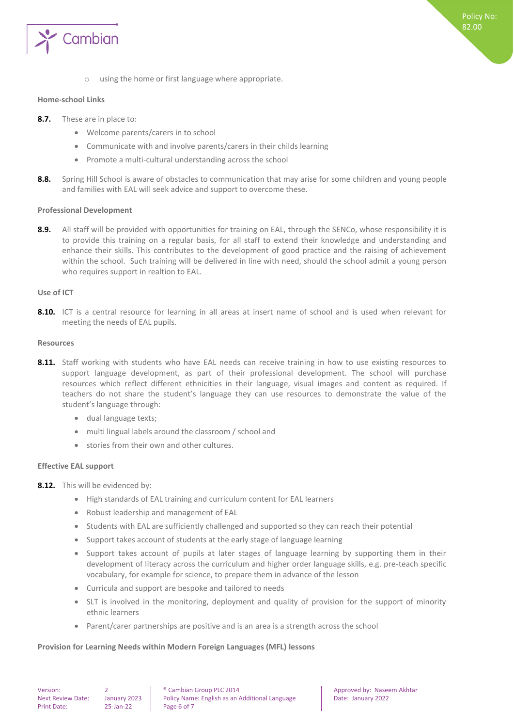

o using the home or first language where appropriate.

#### <span id="page-5-0"></span>**Home-school Links**

- **8.7.** These are in place to:
	- Welcome parents/carers in to school
	- Communicate with and involve parents/carers in their childs learning
	- Promote a multi-cultural understanding across the school
- **8.8.** Spring Hill School is aware of obstacles to communication that may arise for some children and young people and families with EAL will seek advice and support to overcome these.

#### <span id="page-5-1"></span>**Professional Development**

8.9. All staff will be provided with opportunities for training on EAL, through the SENCo, whose responsibility it is to provide this training on a regular basis, for all staff to extend their knowledge and understanding and enhance their skills. This contributes to the development of good practice and the raising of achievement within the school. Such training will be delivered in line with need, should the school admit a young person who requires support in realtion to EAL.

#### <span id="page-5-2"></span>**Use of ICT**

**8.10.** ICT is a central resource for learning in all areas at insert name of school and is used when relevant for meeting the needs of EAL pupils.

#### <span id="page-5-3"></span>**Resources**

- 8.11. Staff working with students who have EAL needs can receive training in how to use existing resources to support language development, as part of their professional development. The school will purchase resources which reflect different ethnicities in their language, visual images and content as required. If teachers do not share the student's language they can use resources to demonstrate the value of the student's language through:
	- dual language texts;
	- multi lingual labels around the classroom / school and
	- stories from their own and other cultures.

#### <span id="page-5-4"></span>**Effective EAL support**

- **8.12.** This will be evidenced by:
	- High standards of EAL training and curriculum content for EAL learners
	- Robust leadership and management of EAL
	- Students with EAL are sufficiently challenged and supported so they can reach their potential
	- Support takes account of students at the early stage of language learning
	- Support takes account of pupils at later stages of language learning by supporting them in their development of literacy across the curriculum and higher order language skills, e.g. pre-teach specific vocabulary, for example for science, to prepare them in advance of the lesson
	- Curricula and support are bespoke and tailored to needs
	- SLT is involved in the monitoring, deployment and quality of provision for the support of minority ethnic learners
	- Parent/carer partnerships are positive and is an area is a strength across the school

#### <span id="page-5-5"></span>**Provision for Learning Needs within Modern Foreign Languages (MFL) lessons**

Print Date: 25-Jan-22 Page 6 of 7